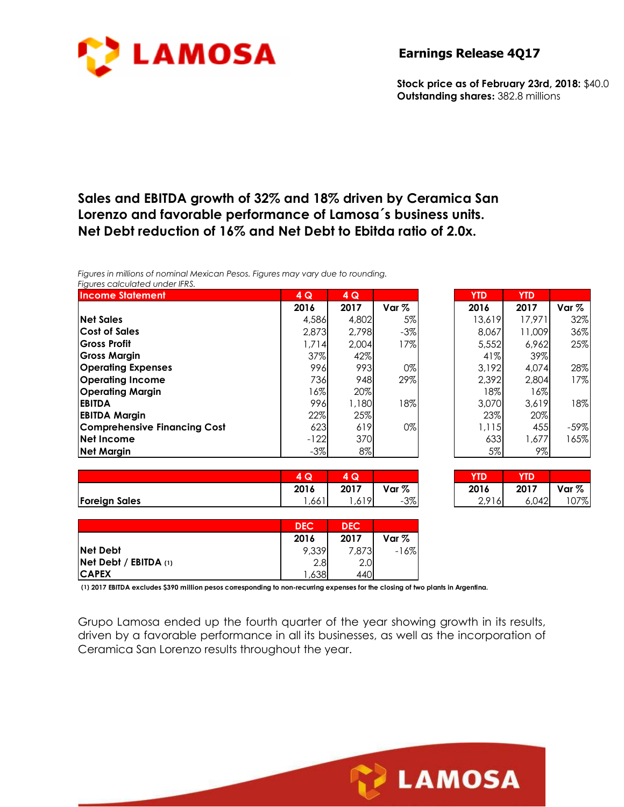

**Earnings Release 4Q17** 

**Stock price as of February 23rd, 2018:** \$40.0 **Outstanding shares:** 382.8 millions

### **Sales and EBITDA growth of 32% and 18% driven by Ceramica San Lorenzo and favorable performance of Lamosa´s business units. Net Debt reduction of 16% and Net Debt to Ebitda ratio of 2.0x.**

*Figures in millions of nominal Mexican Pesos. Figures may vary due to rounding. Figures calculated under IFRS.* 

| <b>Income Statement</b>             | 4Q     | 4Q    |                  | <b>YTD</b> | <b>YTD</b> |        |
|-------------------------------------|--------|-------|------------------|------------|------------|--------|
|                                     | 2016   | 2017  | Var <sub>%</sub> | 2016       | 2017       | Var %  |
| <b>Net Sales</b>                    | 4,586  | 4,802 | $5\%$            | 13,619     | 17,971     | 32%    |
| <b>Cost of Sales</b>                | 2,873  | 2,798 | $-3\%$           | 8,067      | 11,009     | 36%    |
| <b>Gross Profit</b>                 | 1,714  | 2.004 | 17%              | 5,552      | 6,962      | 25%    |
| <b>Gross Margin</b>                 | 37%    | 42%   |                  | 41%        | 39%        |        |
| <b>Operating Expenses</b>           | 996    | 993   | $0\%$            | 3,192      | 4,074      | 28%    |
| <b>Operating Income</b>             | 736    | 948   | 29%              | 2,392      | 2,804      | 17%    |
| <b>Operating Margin</b>             | 16%    | 20%   |                  | 18%        | 16%        |        |
| <b>EBITDA</b>                       | 996    | 1,180 | 18%              | 3,070      | 3.619      | 18%    |
| <b>EBITDA Margin</b>                | 22%    | 25%   |                  | 23%        | 20%        |        |
| <b>Comprehensive Financing Cost</b> | 623    | 619   | $0\%$            | 1,115      | 455        | $-59%$ |
| Net Income                          | $-122$ | 370   |                  | 633        | 1,677      | 165%   |
| <b>Net Margin</b>                   | $-3\%$ | 8%    |                  | 5%l        | $9\%$      |        |

|                      | $\sim$<br>w       | $\sim$        |         | YTD                      | YTD   |        |
|----------------------|-------------------|---------------|---------|--------------------------|-------|--------|
|                      | 2016              | 2017          | Var $%$ | 2016                     | 2017  | Var %  |
| <b>Foreign Sales</b> | $\prime$ 1<br>,66 | 419I<br>1,01. | 3%<br>- | 0.011<br>10L<br><u>.</u> | 6,042 | $07\%$ |

| YTD    | YTD    |         |
|--------|--------|---------|
| 2016   | 2017   | Var $%$ |
| 13,619 | 17.971 | 32%     |
| 8.067  | 11,009 | 36%     |
| 5,552  | 6.962  | 25%     |
| 41%    | 39%    |         |
| 3.192  | 4.074  | 28%     |
| 2.392  | 2.804  | 17%     |
| 18%    | 16%    |         |
| 3.070  | 3,619  | 18%     |
| 23%    | 20%    |         |
| 1,115  | 455    | $-59%$  |
| 633    | 1,677  | 165%    |
| 5%     | 9%     |         |

| 4 Q  | Q<br>4 |        | ID    |       |         |
|------|--------|--------|-------|-------|---------|
| 2016 | 2017   | Var %  | 2016  | 2017  | Var $%$ |
| ,661 | .619   | $-3\%$ | 2.916 | 6.042 | 107%    |

**LAMOSA** 

|                              | <b>DEC</b> | <b>DEC</b> |        |
|------------------------------|------------|------------|--------|
|                              | 2016       | 2017       | Var %  |
| <b>Net Debt</b>              | 9,339      | 7.873      | $-16%$ |
| <b>Net Debt / EBITDA (1)</b> | 2.8        | 2.0        |        |
| <b>CAPEX</b>                 | ,638       | 440        |        |

**(1) 2017 EBITDA excludes \$390 million pesos corresponding to non-recurring expenses for the closing of two plants in Argentina.**

Grupo Lamosa ended up the fourth quarter of the year showing growth in its results, driven by a favorable performance in all its businesses, as well as the incorporation of Ceramica San Lorenzo results throughout the year.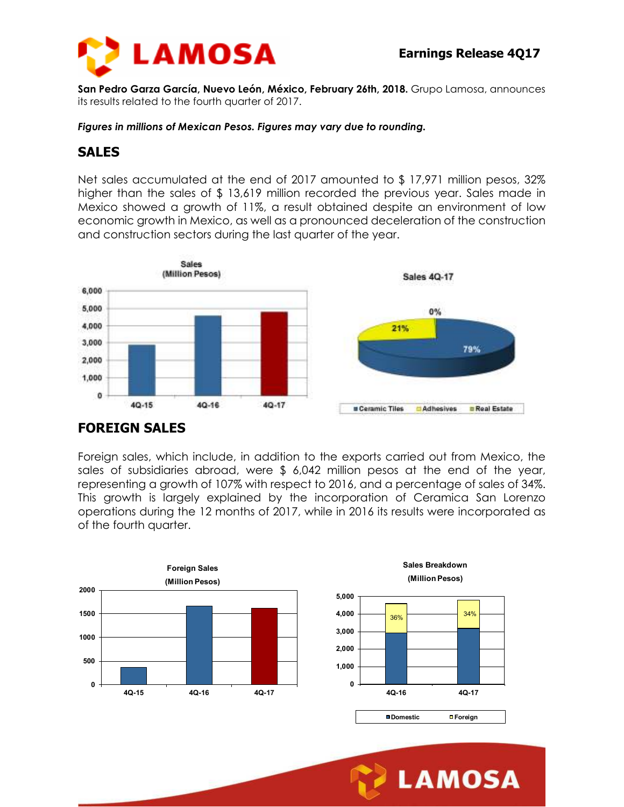

**LAMOSA** 

**San Pedro Garza García, Nuevo León, México, February 26th, 2018.** Grupo Lamosa, announces its results related to the fourth quarter of 2017.

*Figures in millions of Mexican Pesos. Figures may vary due to rounding.* 

### **SALES**

Net sales accumulated at the end of 2017 amounted to \$ 17,971 million pesos, 32% higher than the sales of \$13,619 million recorded the previous year. Sales made in Mexico showed a growth of 11%, a result obtained despite an environment of low economic growth in Mexico, as well as a pronounced deceleration of the construction and construction sectors during the last quarter of the year.



### **FOREIGN SALES**

Foreign sales, which include, in addition to the exports carried out from Mexico, the sales of subsidiaries abroad, were \$ 6,042 million pesos at the end of the year, representing a growth of 107% with respect to 2016, and a percentage of sales of 34%. This growth is largely explained by the incorporation of Ceramica San Lorenzo operations during the 12 months of 2017, while in 2016 its results were incorporated as of the fourth quarter.

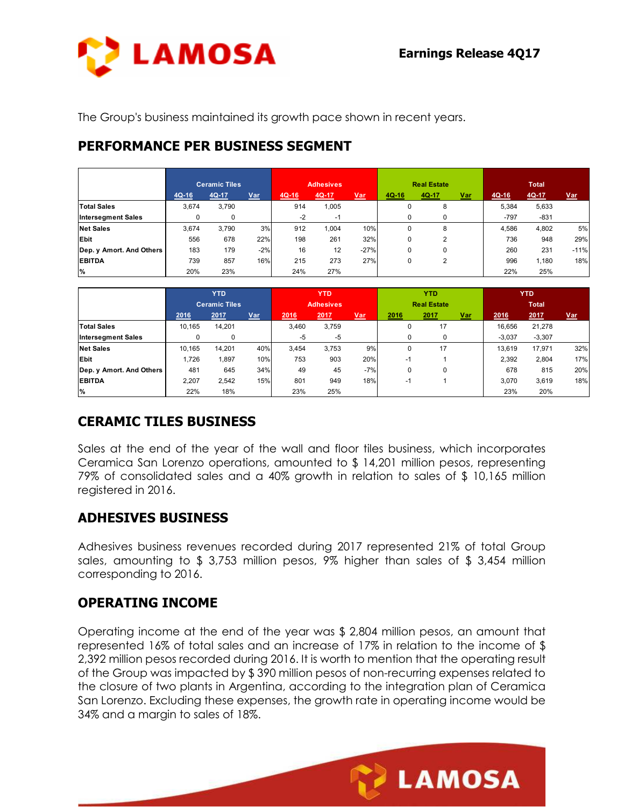**LAMOSA** 



The Group's business maintained its growth pace shown in recent years.

# **PERFORMANCE PER BUSINESS SEGMENT**

|                           |         | <b>Ceramic Tiles</b> |       | <b>Adhesives</b> |       |            |          | <b>Real Estate</b> |            | <b>Total</b> |        |            |
|---------------------------|---------|----------------------|-------|------------------|-------|------------|----------|--------------------|------------|--------------|--------|------------|
|                           | $4Q-16$ | 4Q-17                | Var   | $4Q-16$          | 4Q-17 | <u>Var</u> | $4Q-16$  | $4Q-17$            | <u>Var</u> | $4Q-16$      | 4Q-17  | <u>Var</u> |
| <b>Total Sales</b>        | 3,674   | 3,790                |       | 914              | 1,005 |            | 0        | 8                  |            | 5,384        | 5,633  |            |
| <b>Intersegment Sales</b> | 0       | 0                    |       | $-2$             | $-1$  |            |          | 0                  |            | -797         | $-831$ |            |
| <b>Net Sales</b>          | 3.674   | 3.790                | 3%    | 912              | 1.004 | 10%        | $\Omega$ | 8                  |            | 4.586        | 4,802  | 5%         |
| Ebit                      | 556     | 678                  | 22%   | 198              | 261   | 32%        | 0        | ◠                  |            | 736          | 948    | 29%        |
| Dep. y Amort. And Others  | 183     | 179                  | $-2%$ | 16               | 12    | $-27%$     | $\Omega$ | 0                  |            | 260          | 231    | $-11%$     |
| <b>EBITDA</b>             | 739     | 857                  | 16%   | 215              | 273   | 27%        | 0        | ົ<br>ے             |            | 996          | 1,180  | 18%        |
| %                         | 20%     | 23%                  |       | 24%              | 27%   |            |          |                    |            | 22%          | 25%    |            |

|                           | <b>YTD</b>           |        |                  | <b>YTD</b> |       |                    | <b>YTD</b> |      |              | <b>YTD</b> |          |            |
|---------------------------|----------------------|--------|------------------|------------|-------|--------------------|------------|------|--------------|------------|----------|------------|
|                           | <b>Ceramic Tiles</b> |        | <b>Adhesives</b> |            |       | <b>Real Estate</b> |            |      | <b>Total</b> |            |          |            |
|                           | 2016                 | 2017   | <b>Var</b>       | 2016       | 2017  | <u>Var</u>         | 2016       | 2017 | <u>Var</u>   | 2016       | 2017     | <u>Var</u> |
| <b>Total Sales</b>        | 10.165               | 14,201 |                  | 3.460      | 3,759 |                    |            | 17   |              | 16.656     | 21,278   |            |
| <b>Intersegment Sales</b> | 0                    | 0      |                  | $-5$       | $-5$  |                    |            | 0    |              | $-3.037$   | $-3.307$ |            |
| <b>Net Sales</b>          | 10.165               | 14.201 | 40%              | 3.454      | 3,753 | 9%                 |            | 17   |              | 13.619     | 17.971   | 32%        |
| Ebit                      | 1.726                | 1,897  | 10%              | 753        | 903   | 20%                | -1         |      |              | 2.392      | 2,804    | 17%        |
| Dep. y Amort. And Others  | 481                  | 645    | 34%              | 49         | 45    | $-7%$              | 0          | 0    |              | 678        | 815      | 20%        |
| <b>EBITDA</b>             | 2,207                | 2,542  | 15%              | 801        | 949   | 18%                | -1         |      |              | 3.070      | 3,619    | 18%        |
| $\frac{9}{6}$             | 22%                  | 18%    |                  | 23%        | 25%   |                    |            |      |              | 23%        | 20%      |            |

# **CERAMIC TILES BUSINESS**

Sales at the end of the year of the wall and floor tiles business, which incorporates Ceramica San Lorenzo operations, amounted to \$ 14,201 million pesos, representing 79% of consolidated sales and a 40% growth in relation to sales of \$ 10,165 million registered in 2016.

### **ADHESIVES BUSINESS**

Adhesives business revenues recorded during 2017 represented 21% of total Group sales, amounting to \$ 3,753 million pesos, 9% higher than sales of \$ 3,454 million corresponding to 2016.

### **OPERATING INCOME**

Operating income at the end of the year was \$ 2,804 million pesos, an amount that represented 16% of total sales and an increase of 17% in relation to the income of \$ 2,392 million pesos recorded during 2016. It is worth to mention that the operating result of the Group was impacted by \$ 390 million pesos of non-recurring expenses related to the closure of two plants in Argentina, according to the integration plan of Ceramica San Lorenzo. Excluding these expenses, the growth rate in operating income would be 34% and a margin to sales of 18%.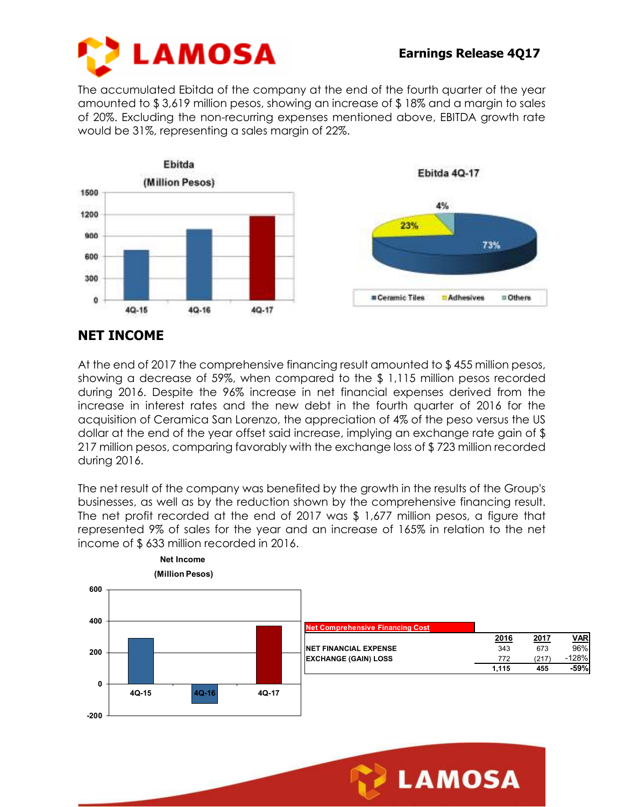

The accumulated Ebitda of the company at the end of the fourth quarter of the year amounted to \$ 3,619 million pesos, showing an increase of \$ 18% and a margin to sales of 20%. Excluding the non-recurring expenses mentioned above, EBITDA growth rate would be 31%, representing a sales margin of 22%.



### **NET INCOME**

At the end of 2017 the comprehensive financing result amounted to \$455 million pesos, showing a decrease of 59%, when compared to the \$ 1,115 million pesos recorded during 2016. Despite the 96% increase in net financial expenses derived from the increase in interest rates and the new debt in the fourth quarter of 2016 for the acquisition of Ceramica San Lorenzo, the appreciation of 4% of the peso versus the US dollar at the end of the year offset said increase, implying an exchange rate gain of \$ 217 million pesos, comparing favorably with the exchange loss of \$ 723 million recorded during 2016.

The net result of the company was benefited by the growth in the results of the Group's businesses, as well as by the reduction shown by the comprehensive financing result. The net profit recorded at the end of 2017 was \$ 1,677 million pesos, a figure that represented 9% of sales for the year and an increase of 165% in relation to the net income of \$ 633 million recorded in 2016.



**LAMOSA**